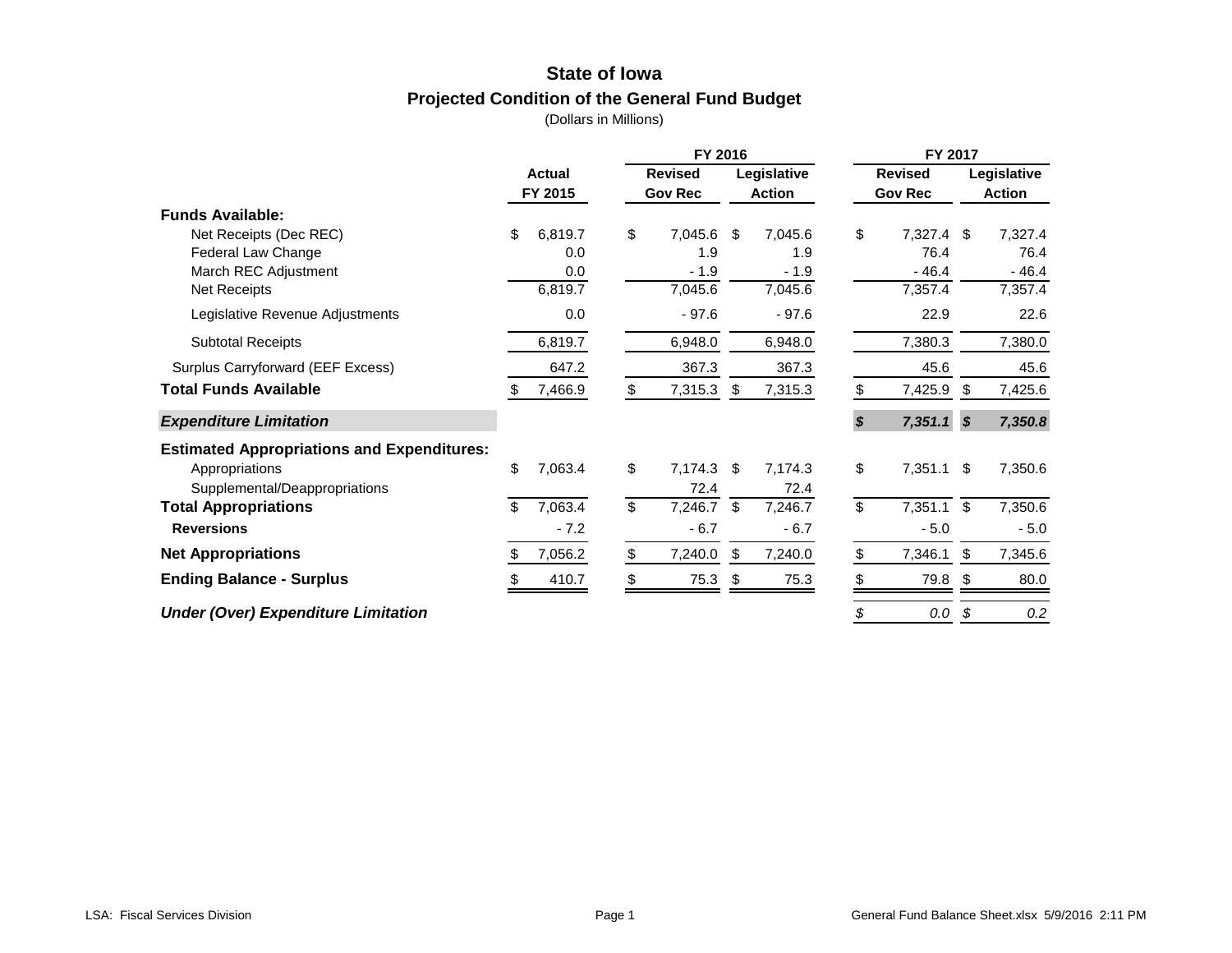# **State of Iowa Projected Condition of the General Fund Budget**

|                                                   |    |                      | FY 2016                    |    |               | FY 2017        |                |             |               |
|---------------------------------------------------|----|----------------------|----------------------------|----|---------------|----------------|----------------|-------------|---------------|
|                                                   |    | Actual               | <b>Revised</b>             |    | Legislative   | <b>Revised</b> |                | Legislative |               |
|                                                   |    | FY 2015              | <b>Gov Rec</b>             |    | <b>Action</b> |                | <b>Gov Rec</b> |             | <b>Action</b> |
| <b>Funds Available:</b>                           |    |                      |                            |    |               |                |                |             |               |
| Net Receipts (Dec REC)                            | \$ | 6,819.7              | \$<br>7,045.6              | \$ | 7,045.6       | \$             | $7,327.4$ \$   |             | 7,327.4       |
| Federal Law Change                                |    | 0.0                  | 1.9                        |    | 1.9           |                | 76.4           |             | 76.4          |
| March REC Adjustment                              |    | 0.0                  | $-1.9$                     |    | $-1.9$        |                | $-46.4$        |             | $-46.4$       |
| Net Receipts                                      |    | 6,819.7              | 7,045.6                    |    | 7,045.6       |                | 7,357.4        |             | 7,357.4       |
| Legislative Revenue Adjustments                   |    | 0.0                  | $-97.6$                    |    | $-97.6$       |                | 22.9           |             | 22.6          |
| <b>Subtotal Receipts</b>                          |    | 6,819.7              | 6,948.0                    |    | 6,948.0       |                | 7,380.3        |             | 7,380.0       |
| Surplus Carryforward (EEF Excess)                 |    | 647.2                | 367.3                      |    | 367.3         |                | 45.6           |             | 45.6          |
| <b>Total Funds Available</b>                      |    | 7,466.9              | \$<br>7,315.3              | -S | 7,315.3       | \$             | 7,425.9        | - \$        | 7,425.6       |
| <b>Expenditure Limitation</b>                     |    |                      |                            |    |               | \$             | $7,351.1$ \$   |             | 7,350.8       |
| <b>Estimated Appropriations and Expenditures:</b> |    |                      |                            |    |               |                |                |             |               |
| Appropriations                                    | \$ | 7,063.4              | \$<br>7,174.3              | \$ | 7,174.3       | \$             | 7,351.1        | \$          | 7,350.6       |
| Supplemental/Deappropriations                     |    |                      | 72.4                       |    | 72.4          |                |                |             |               |
| <b>Total Appropriations</b>                       | \$ | $7,063.\overline{4}$ | \$<br>$7,246.\overline{7}$ | \$ | 7,246.7       | \$             | 7,351.1        | \$          | 7,350.6       |
| <b>Reversions</b>                                 |    | $-7.2$               | $-6.7$                     |    | $-6.7$        |                | $-5.0$         |             | $-5.0$        |
| <b>Net Appropriations</b>                         |    | 7,056.2              | \$<br>7,240.0              | \$ | 7,240.0       | \$             | 7,346.1        | \$          | 7,345.6       |
| <b>Ending Balance - Surplus</b>                   |    | 410.7                | \$<br>75.3                 | \$ | 75.3          |                | 79.8           | \$          | 80.0          |
| <b>Under (Over) Expenditure Limitation</b>        |    |                      |                            |    |               | \$             | 0.0            | -\$         | 0.2           |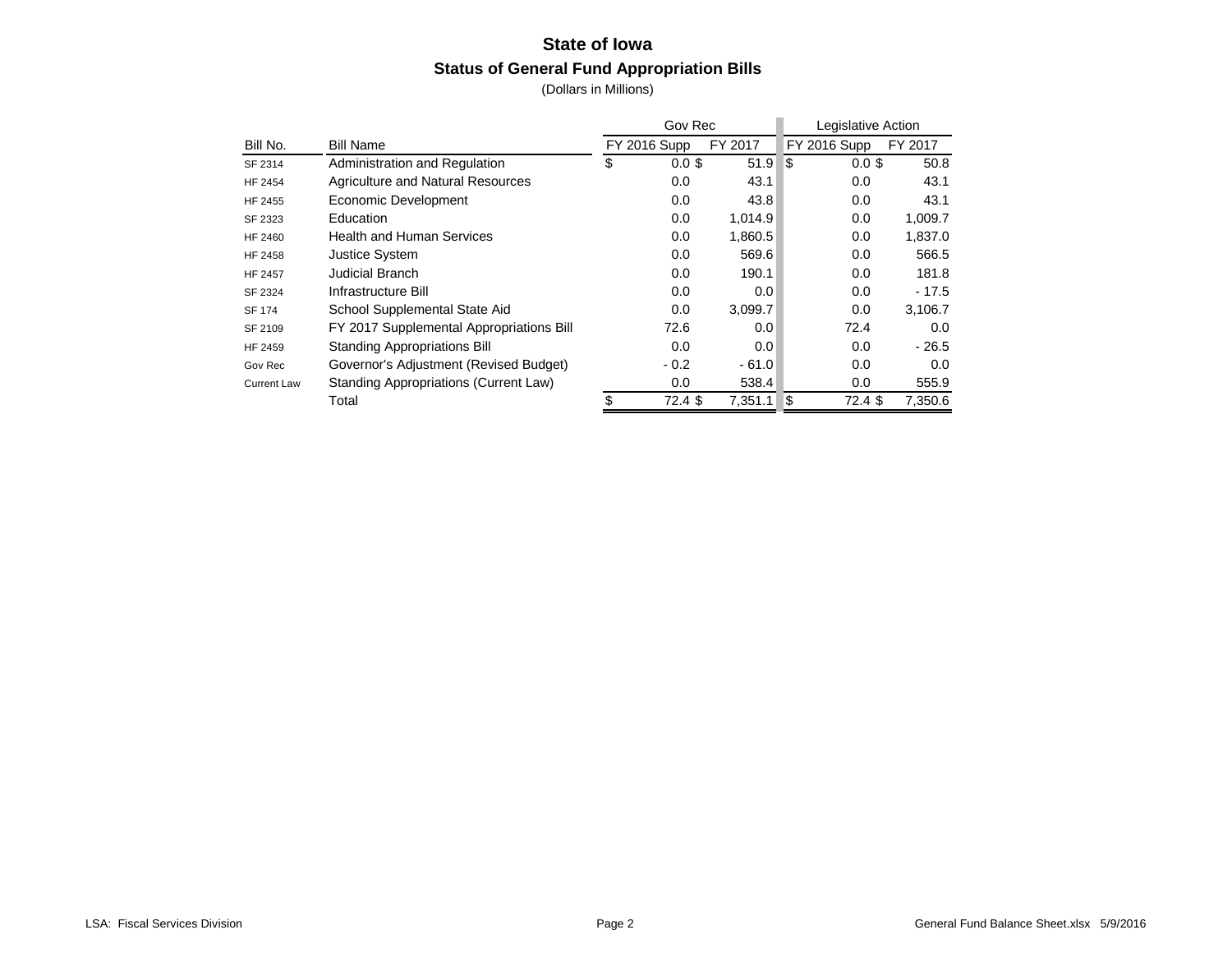# **State of Iowa Status of General Fund Appropriation Bills**

|                    |                                          | Gov Rec             |         |      | Legislative Action  |         |
|--------------------|------------------------------------------|---------------------|---------|------|---------------------|---------|
| Bill No.           | <b>Bill Name</b>                         | <b>FY 2016 Supp</b> | FY 2017 |      | <b>FY 2016 Supp</b> | FY 2017 |
| SF 2314            | Administration and Regulation            | \$<br>$0.0$ \$      | 51.9    | ∣\$  | $0.0$ \$            | 50.8    |
| HF 2454            | Agriculture and Natural Resources        | 0.0                 | 43.1    |      | 0.0                 | 43.1    |
| HF 2455            | Economic Development                     | 0.0                 | 43.8    |      | 0.0                 | 43.1    |
| SF 2323            | Education                                | 0.0                 | 1,014.9 |      | 0.0                 | 1,009.7 |
| HF 2460            | <b>Health and Human Services</b>         | 0.0                 | 1,860.5 |      | 0.0                 | 1,837.0 |
| <b>HF 2458</b>     | <b>Justice System</b>                    | 0.0                 | 569.6   |      | 0.0                 | 566.5   |
| <b>HF 2457</b>     | Judicial Branch                          | 0.0                 | 190.1   |      | 0.0                 | 181.8   |
| SF 2324            | Infrastructure Bill                      | 0.0                 | 0.0     |      | 0.0                 | $-17.5$ |
| <b>SF 174</b>      | School Supplemental State Aid            | 0.0                 | 3,099.7 |      | 0.0                 | 3,106.7 |
| SF 2109            | FY 2017 Supplemental Appropriations Bill | 72.6                | 0.0     |      | 72.4                | 0.0     |
| HF 2459            | <b>Standing Appropriations Bill</b>      | 0.0                 | 0.0     |      | 0.0                 | $-26.5$ |
| Gov Rec            | Governor's Adjustment (Revised Budget)   | $-0.2$              | $-61.0$ |      | 0.0                 | 0.0     |
| <b>Current Law</b> | Standing Appropriations (Current Law)    | 0.0                 | 538.4   |      | 0.0                 | 555.9   |
|                    | Total                                    | 72.4 \$             | 7.351.1 | ا \$ | $72.4$ \$           | 7.350.6 |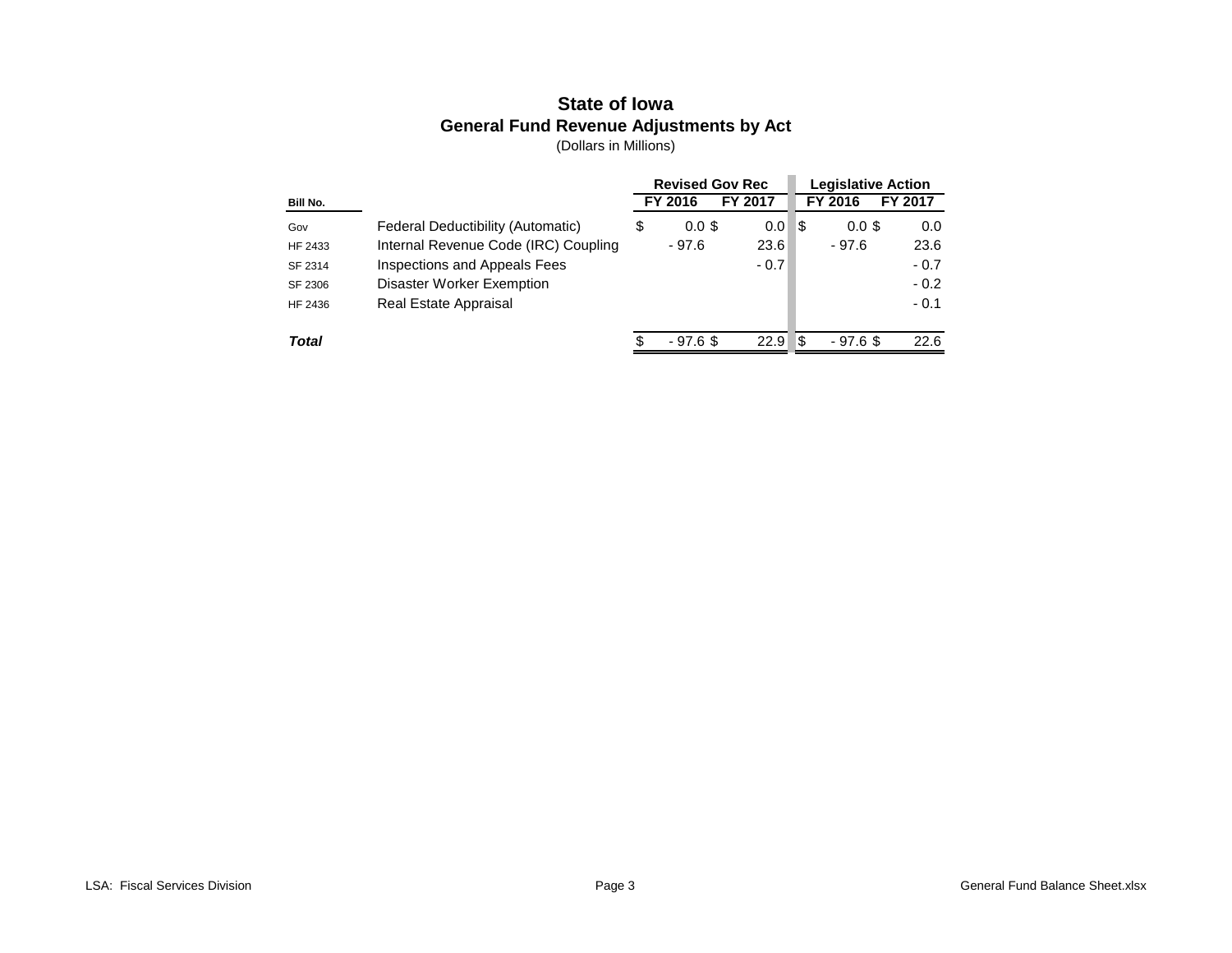# **State of Iowa General Fund Revenue Adjustments by Act**

|          |                                      | <b>Revised Gov Rec</b> |         |     |            | <b>Legislative Action</b> |
|----------|--------------------------------------|------------------------|---------|-----|------------|---------------------------|
| Bill No. |                                      | FY 2016                | FY 2017 |     | FY 2016    | FY 2017                   |
| Gov      | Federal Deductibility (Automatic)    | \$<br>$0.0$ \$         | 0.0     | - 3 | $0.0$ \$   | 0.0                       |
| HF 2433  | Internal Revenue Code (IRC) Coupling | - 97.6                 | 23.6    |     | $-97.6$    | 23.6                      |
| SF 2314  | Inspections and Appeals Fees         |                        | $-0.7$  |     |            | $-0.7$                    |
| SF 2306  | Disaster Worker Exemption            |                        |         |     |            | $-0.2$                    |
| HF 2436  | Real Estate Appraisal                |                        |         |     |            | $-0.1$                    |
|          |                                      |                        |         |     |            |                           |
| Total    |                                      | $-97.6$ \$             | 22.9    | - 3 | $-97.6$ \$ | 22.6                      |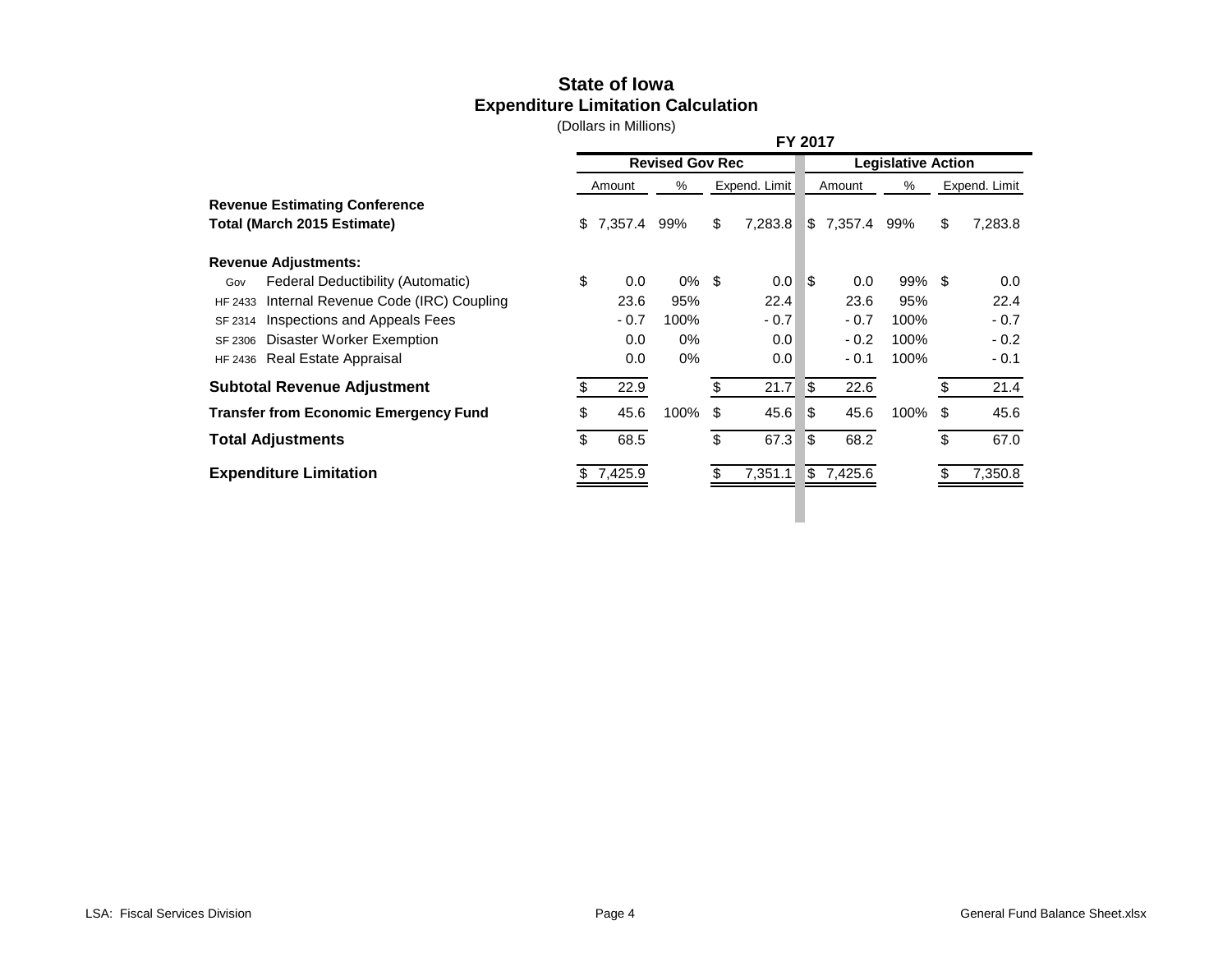# **State of Iowa Expenditure Limitation Calculation**

|                                                 |            |                        | FY 2017       |     |                           |                           |               |
|-------------------------------------------------|------------|------------------------|---------------|-----|---------------------------|---------------------------|---------------|
|                                                 |            | <b>Revised Gov Rec</b> |               |     |                           | <b>Legislative Action</b> |               |
|                                                 | Amount     | %                      | Expend. Limit |     | Amount                    | %                         | Expend. Limit |
| <b>Revenue Estimating Conference</b>            |            |                        |               |     |                           |                           |               |
| Total (March 2015 Estimate)                     | \$7,357.4  | 99%                    | \$<br>7,283.8 |     | $\frac{1}{2}$ 7,357.4 99% |                           | \$<br>7,283.8 |
| <b>Revenue Adjustments:</b>                     |            |                        |               |     |                           |                           |               |
| Federal Deductibility (Automatic)<br>Gov        | \$<br>0.0  | $0\%$ \$               | 0.0           | l\$ | 0.0                       | $99\%$ \$                 | 0.0           |
| Internal Revenue Code (IRC) Coupling<br>HF 2433 | 23.6       | 95%                    | 22.4          |     | 23.6                      | 95%                       | 22.4          |
| Inspections and Appeals Fees<br>SF 2314         | $-0.7$     | 100%                   | $-0.7$        |     | $-0.7$                    | 100%                      | $-0.7$        |
| Disaster Worker Exemption<br>SF 2306            | 0.0        | 0%                     | 0.0           |     | $-0.2$                    | 100%                      | $-0.2$        |
| HF 2436 Real Estate Appraisal                   | 0.0        | 0%                     | 0.0           |     | $-0.1$                    | 100%                      | $-0.1$        |
| <b>Subtotal Revenue Adjustment</b>              | \$<br>22.9 |                        | \$<br>21.7    | ∣\$ | 22.6                      |                           | 21.4          |
| <b>Transfer from Economic Emergency Fund</b>    | \$<br>45.6 | 100%                   | \$<br>45.6    | ß.  | 45.6                      | 100%                      | \$<br>45.6    |
| <b>Total Adjustments</b>                        | \$<br>68.5 |                        | \$<br>67.3    | l\$ | 68.2                      |                           | \$<br>67.0    |
| <b>Expenditure Limitation</b>                   | 7,425.9    |                        | 7,351.1       |     | $\frac{1}{2}$ 7,425.6     |                           | 7,350.8       |
|                                                 |            |                        |               |     |                           |                           |               |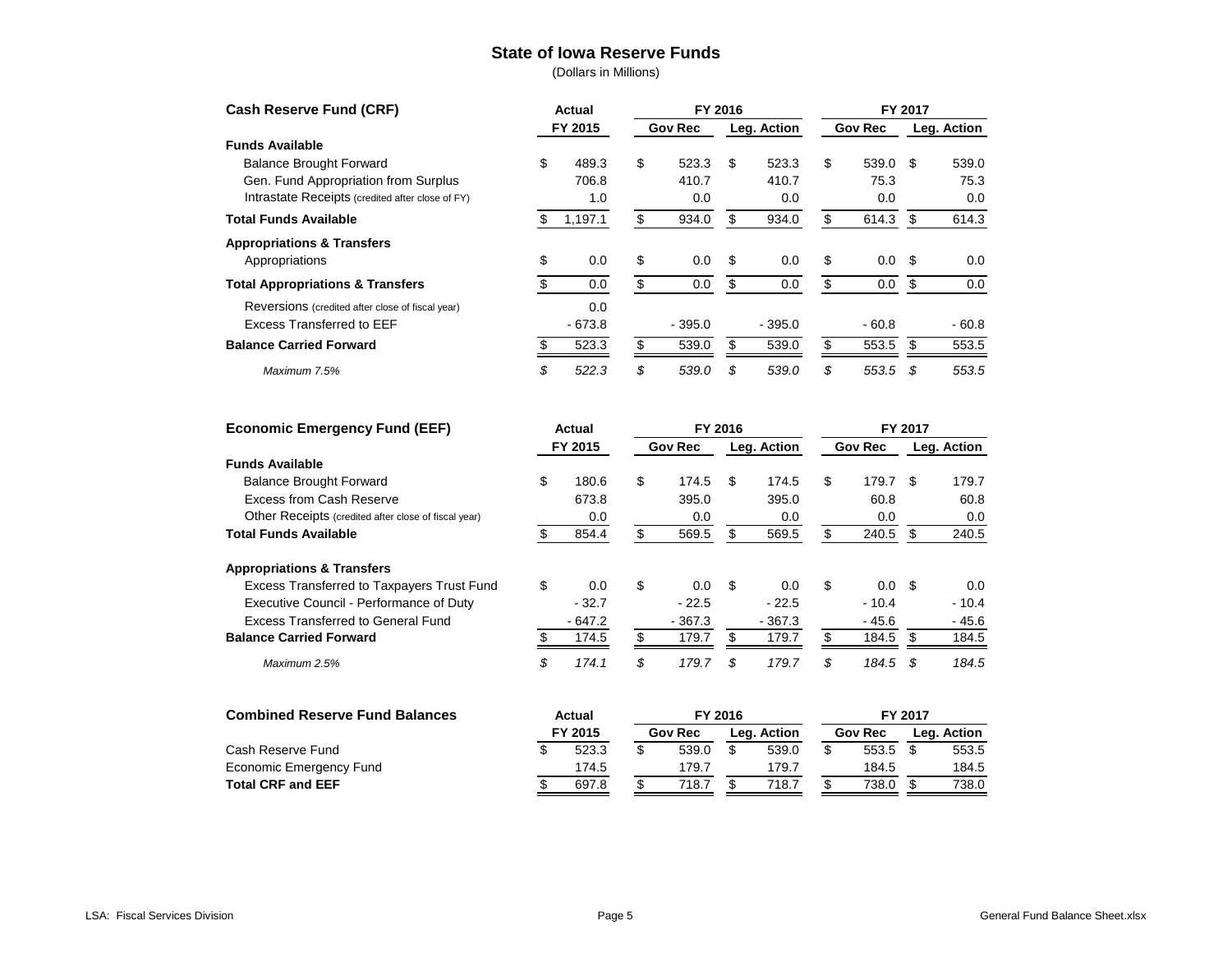#### **State of Iowa Reserve Funds**

|    |          |                   |          |                |          |             |         |                | Leg. Action |
|----|----------|-------------------|----------|----------------|----------|-------------|---------|----------------|-------------|
|    |          |                   |          |                |          |             |         |                |             |
| \$ | 489.3    | \$                | 523.3    | \$             | 523.3    | \$          | 539.0   | -\$            | 539.0       |
|    | 706.8    |                   | 410.7    |                | 410.7    |             | 75.3    |                | 75.3        |
|    | 1.0      |                   | 0.0      |                | 0.0      |             | 0.0     |                | 0.0         |
| S  | 1,197.1  | S                 | 934.0    | \$             | 934.0    |             | 614.3   | S              | 614.3       |
|    |          |                   |          |                |          |             |         |                |             |
| \$ | 0.0      | \$                | 0.0      | \$             | 0.0      | \$          | 0.0     | -\$            | 0.0         |
|    | 0.0      | \$                | 0.0      | \$             | 0.0      | \$          | 0.0     | \$             | 0.0         |
|    | 0.0      |                   |          |                |          |             |         |                |             |
|    | $-673.8$ |                   | $-395.0$ |                | $-395.0$ |             | $-60.8$ |                | $-60.8$     |
|    | 523.3    |                   | 539.0    |                | 539.0    |             | 553.5   |                | 553.5       |
| \$ | 522.3    | \$                | 539.0    | \$             | 539.0    | \$          | 553.5   | -\$            | 553.5       |
|    |          | Actual<br>FY 2015 |          | <b>Gov Rec</b> | FY 2016  | Leg. Action |         | <b>Gov Rec</b> | FY 2017     |

| <b>Economic Emergency Fund (EEF)</b>                 | Actual |          |    | FY 2016        |         | FY 2017     |    |                |         |             |
|------------------------------------------------------|--------|----------|----|----------------|---------|-------------|----|----------------|---------|-------------|
|                                                      |        | FY 2015  |    | <b>Gov Rec</b> |         | Leg. Action |    | <b>Gov Rec</b> |         | Leg. Action |
| <b>Funds Available</b>                               |        |          |    |                |         |             |    |                |         |             |
| <b>Balance Brought Forward</b>                       | \$     | 180.6    | \$ | 174.5          | S.      | 174.5       | \$ | 179.7          | \$      | 179.7       |
| Excess from Cash Reserve                             |        | 673.8    |    | 395.0          |         | 395.0       |    | 60.8           |         | 60.8        |
| Other Receipts (credited after close of fiscal year) |        | 0.0      |    | 0.0            |         | 0.0         |    | 0.0            |         | 0.0         |
| <b>Total Funds Available</b>                         |        | 854.4    | S  | 569.5          | \$.     | 569.5       | S  | 240.5          | \$      | 240.5       |
| <b>Appropriations &amp; Transfers</b>                |        |          |    |                |         |             |    |                |         |             |
| Excess Transferred to Taxpayers Trust Fund           | \$     | 0.0      | \$ | 0.0            | \$      | 0.0         | \$ | 0.0            | -S      | 0.0         |
| Executive Council - Performance of Duty              |        | $-32.7$  |    | $-22.5$        |         | $-22.5$     |    | $-10.4$        |         | $-10.4$     |
| Excess Transferred to General Fund                   |        | $-647.2$ |    | $-367.3$       |         | $-367.3$    |    | $-45.6$        |         | $-45.6$     |
| <b>Balance Carried Forward</b>                       |        | 174.5    | \$ | 179.7          | £.      | 179.7       |    | 184.5          | S       | 184.5       |
| Maximum 2.5%                                         | \$     | 174.1    | \$ | 179.7          | \$      | 179.7       | \$ | 184.5          | \$      | 184.5       |
| <b>Combined Reserve Fund Balances</b>                |        | Actual   |    |                | FY 2016 |             |    |                | FY 2017 |             |
|                                                      |        | FY 2015  |    | <b>Gov Rec</b> |         | Leg. Action |    | <b>Gov Rec</b> |         | Leg. Action |

| COMMIT RESERVE FUIIU DAIANCES | Actual<br>FI ZUID |  |                |  |             | FI ZUIT |                |  |             |  |
|-------------------------------|-------------------|--|----------------|--|-------------|---------|----------------|--|-------------|--|
|                               | FY 2015           |  | <b>Gov Rec</b> |  | Lea. Action |         | <b>Gov Rec</b> |  | Lea. Action |  |
| Cash Reserve Fund             | 523.3             |  | 539.0          |  | 539.0       |         | 553.5          |  | 553.5       |  |
| Economic Emergency Fund       | 174.5             |  | 179.7          |  | 179.7       |         | 184.5          |  | 184.5       |  |
| <b>Total CRF and EEF</b>      | 697.8             |  | 718.7          |  | 718.7       |         | 738.0          |  | 738.C       |  |
|                               |                   |  |                |  |             |         |                |  |             |  |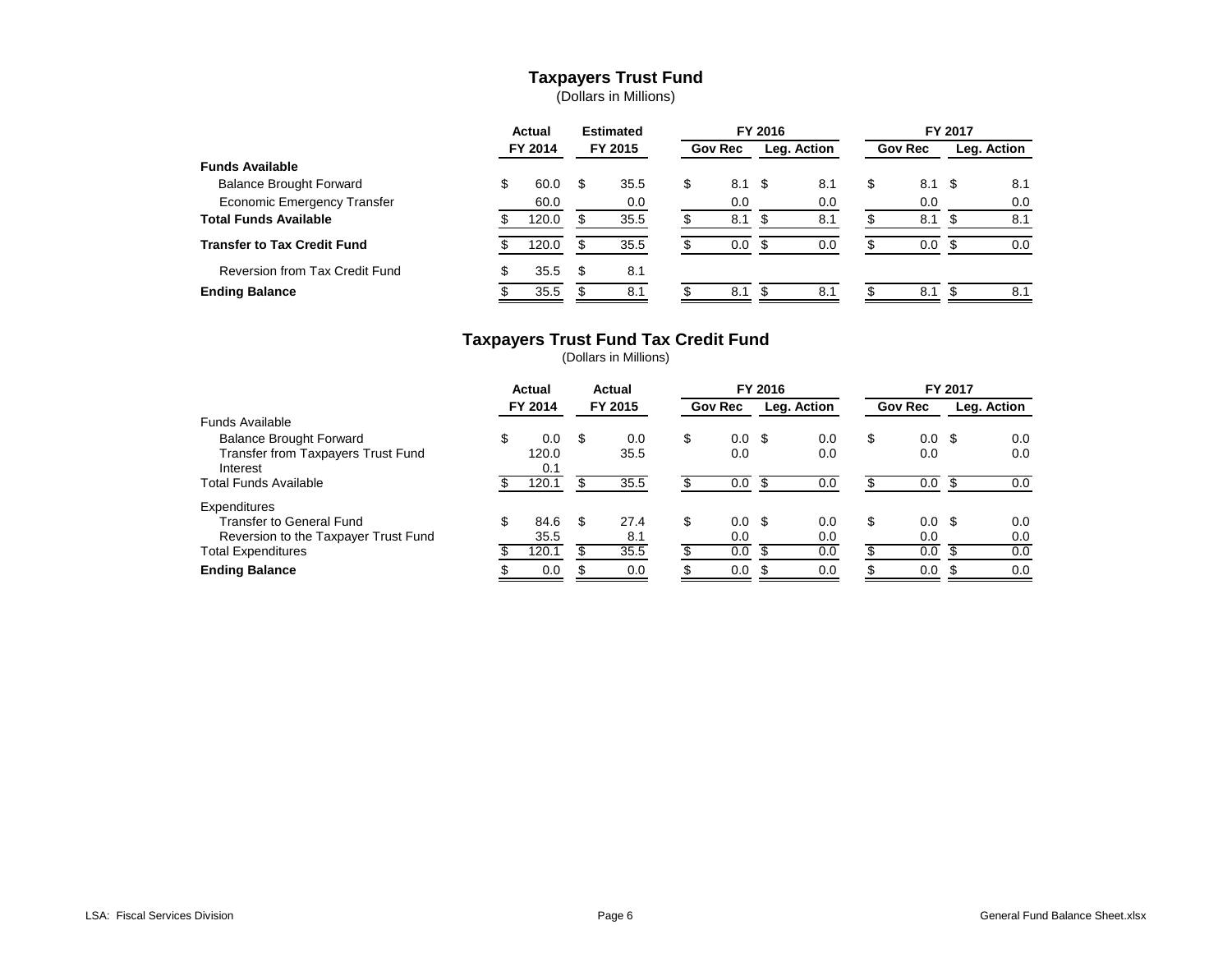## **Taxpayers Trust Fund**

(Dollars in Millions)

|                                    | Actual |         | <b>Estimated</b> |         | FY 2016 |                |      |             | FY 2017 |                |      |             |  |
|------------------------------------|--------|---------|------------------|---------|---------|----------------|------|-------------|---------|----------------|------|-------------|--|
|                                    |        | FY 2014 |                  | FY 2015 |         | <b>Gov Rec</b> |      | Leg. Action |         | <b>Gov Rec</b> |      | Leg. Action |  |
| <b>Funds Available</b>             |        |         |                  |         |         |                |      |             |         |                |      |             |  |
| <b>Balance Brought Forward</b>     |        | 60.0    | S                | 35.5    | S       | 8.1            | - \$ | 8.1         | \$      | 8.1            | - \$ | 8.1         |  |
| <b>Economic Emergency Transfer</b> |        | 60.0    |                  | 0.0     |         | 0.0            |      | 0.0         |         | 0.0            |      | 0.0         |  |
| <b>Total Funds Available</b>       |        | 120.0   |                  | 35.5    |         | 8.1            |      | 8.1         |         | 8.1            | S    | 8.1         |  |
| <b>Transfer to Tax Credit Fund</b> |        | 120.0   |                  | 35.5    |         | 0.0            |      | 0.0         |         | 0.0            |      | 0.0         |  |
| Reversion from Tax Credit Fund     |        | 35.5    | S                | 8.1     |         |                |      |             |         |                |      |             |  |
| <b>Ending Balance</b>              |        | 35.5    |                  | 8.1     |         | 8.1            |      | 8.1         |         | 8.1            |      | 8.1         |  |

#### **Taxpayers Trust Fund Tax Credit Fund**

|                                      | Actual |         | Actual |         | FY 2016 |                |  |             | FY 2017 |                |  |             |
|--------------------------------------|--------|---------|--------|---------|---------|----------------|--|-------------|---------|----------------|--|-------------|
|                                      |        | FY 2014 |        | FY 2015 |         | <b>Gov Rec</b> |  | Leg. Action |         | <b>Gov Rec</b> |  | Leg. Action |
| Funds Available                      |        |         |        |         |         |                |  |             |         |                |  |             |
| <b>Balance Brought Forward</b>       | \$     | 0.0     | S      | 0.0     | \$      | $0.0 \,$ \$    |  | 0.0         | \$      | $0.0 \,$ \$    |  | 0.0         |
| Transfer from Taxpayers Trust Fund   |        | 120.0   |        | 35.5    |         | 0.0            |  | 0.0         |         | 0.0            |  | 0.0         |
| Interest                             |        | 0.1     |        |         |         |                |  |             |         |                |  |             |
| <b>Total Funds Available</b>         |        | 120.1   |        | 35.5    |         | 0.0            |  | 0.0         |         | 0.0            |  | 0.0         |
| Expenditures                         |        |         |        |         |         |                |  |             |         |                |  |             |
| <b>Transfer to General Fund</b>      |        | 84.6    | \$.    | 27.4    | \$      | $0.0 \,$ \$    |  | 0.0         | \$      | $0.0 \,$ \$    |  | 0.0         |
| Reversion to the Taxpayer Trust Fund |        | 35.5    |        | 8.1     |         | 0.0            |  | 0.0         |         | 0.0            |  | 0.0         |
| <b>Total Expenditures</b>            |        | 120.1   |        | 35.5    |         | 0.0            |  | 0.0         |         | 0.0            |  | 0.0         |
| <b>Ending Balance</b>                |        | 0.0     |        | 0.0     |         | 0.0            |  | 0.0         |         | 0.0            |  | 0.0         |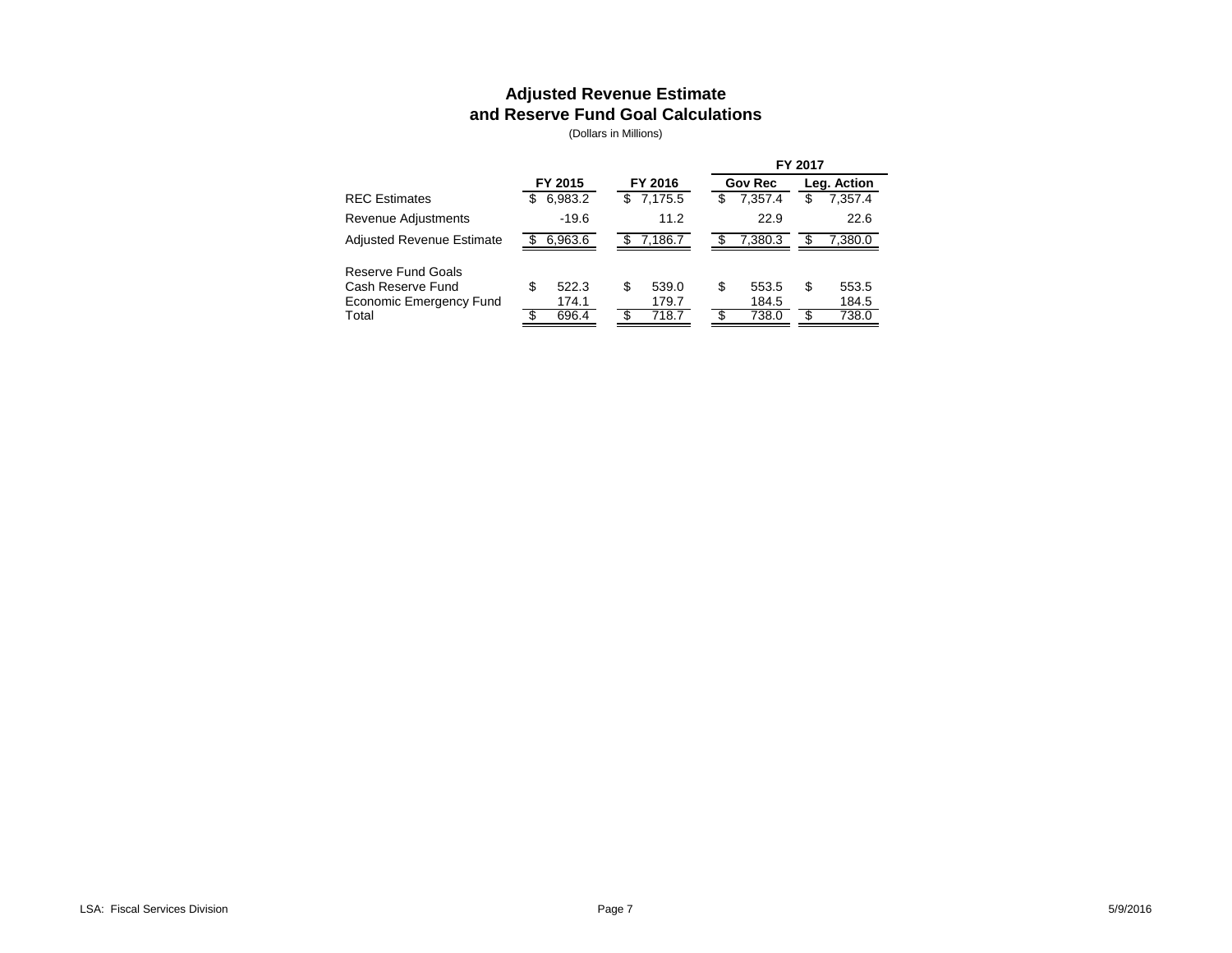## **Adjusted Revenue Estimate and Reserve Fund Goal Calculations**

|                                                                    |                     |                       |                      | FY 2017             |  |  |  |
|--------------------------------------------------------------------|---------------------|-----------------------|----------------------|---------------------|--|--|--|
|                                                                    | FY 2015             | FY 2016               | <b>Gov Rec</b>       | Leg. Action         |  |  |  |
| <b>REC Estimates</b>                                               | 6,983.2<br>S        | \$7,175.5             | 7,357.4<br>S         | 7,357.4<br>\$       |  |  |  |
| Revenue Adjustments                                                | $-19.6$             | 11.2                  | 22.9                 | 22.6                |  |  |  |
| <b>Adjusted Revenue Estimate</b>                                   | 6,963.6             | 7,186.7               | 7.380.3              | 7,380.0             |  |  |  |
| Reserve Fund Goals<br>Cash Reserve Fund<br>Economic Emergency Fund | S<br>522.3<br>174.1 | 539.0<br>\$.<br>179.7 | \$<br>553.5<br>184.5 | S<br>553.5<br>184.5 |  |  |  |
| Total                                                              | 696.4               | 718.7                 | 738.0                | 738.0               |  |  |  |